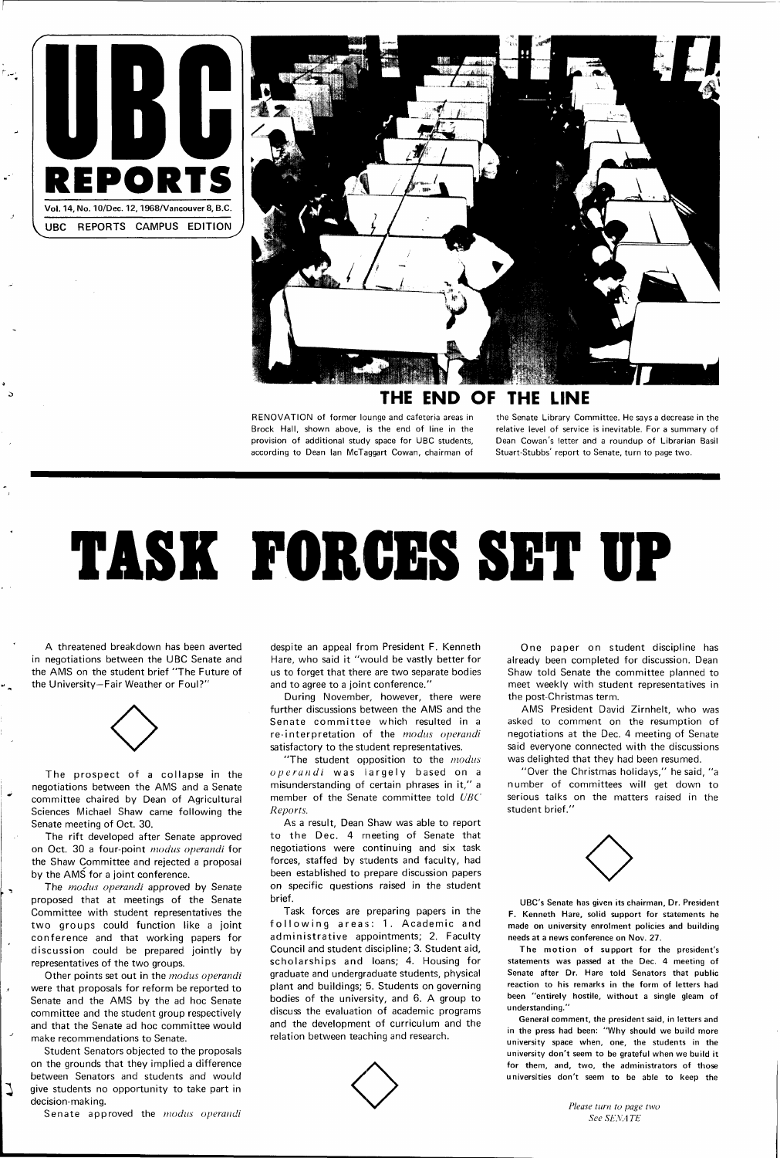



#### **THE END OF THE LINE**

RENOVATION of former lounge and cafeteria areas in Brock Hall, shown above, is the end of line in the provision of additional study space for UBC students, according to Dean Ian McTaggart Cowan, chairman of

the Senate Library Committee. He says a decrease in the relative level of service is inevitable. For a summary of Dean Cowan's letter and a roundup of Librarian Basil Stuart-Stubbs' report to Senate, turn to page two.

The prospect of a collapse in the negotiations between the AMS and a Senate committee chaired by Dean of Agricultural Sciences Michael Shaw came following the Senate meeting of Oct. 30.

# **TASK FORGES SET UP**

A threatened breakdown has been averted in negotiations between the UBC Senate and the AMS on the student brief "The Future of the University—Fair Weather or Foul?"



The *modus operandi* approved by Senate proposed that at meetings of the Senate Committee with student representatives the two groups could function like a joint conference and that working papers for discussion could be prepared jointly by representatives of the two groups.

Other points set out in the modus operandi were that proposals for reform be reported to Senate and the AMS by the ad hoc Senate committee and the student group respectively and that the Senate ad hoc committee would make recommendations to Senate.

ر

J

The rift developed after Senate approved on Oct. 30 a four-point modus operandi for the Shaw Committee and rejected a proposal by the AMS for a joint conference.

"The student opposition to the *modus*  $operator$   $of$   $general$  was largely based on a misunderstanding of certain phrases in it," a member of the Senate committee told UBC Reports.

As a result, Dean Shaw was able to report to the Dec. 4 meeting of Senate that negotiations were continuing and six task forces, staffed by students and faculty, had been established to prepare discussion papers on specific questions raised in the student brief.

One paper on student discipline has already been completed for discussion. Dean Shaw told Senate the committee planned to meet weekly with student representatives in the post-Christmas term.

Student Senators objected to the proposals on the grounds that they implied a difference between Senators and students and would give students no opportunity to take part in decision-making.

Senate approved the modus operandi

despite an appeal from President F. Kenneth Hare, who said it "would be vastly better for us to forget that there are two separate bodies and to agree to a joint conference."

> The motion of support for the president's statements was passed at the Dec. 4 meeting of Senate after Dr. Hare told Senators that public reaction to his remarks in the form of letters had been "entirely hostile, without a single gleam of understanding."

During November, however, there were further discussions between the AMS and the Senate committee which resulted in a re-interpretation of the modus operandi satisfactory to the student representatives.

Task forces are preparing papers in the following areas: 1. Academic and administrative appointments; 2. Faculty Council and student discipline; 3. Student aid, scholarships and loans; 4. Housing for graduate and undergraduate students, physical plant and buildings; 5. Students on governing bodies of the university, and 6. A group to discuss the evaluation of academic programs and the development of curriculum and the relation between teaching and research.

AMS President David Zirnhelt, who was asked to comment on the resumption of negotiations at the Dec. 4 meeting of Senate said everyone connected with the discussions was delighted that they had been resumed.

"Over the Christmas holidays," he said, "a number of committees will get down to serious talks on the matters raised in the student brief."



UBC's Senate has given its chairman. Dr. President F. Kenneth Hare, solid support for statements he made on university enrolment policies and building needs at a news conference on Nov. 27.

General comment, the president said, in letters and in the press had been: "Why should we build more university space when, one, the students in the university don't seem to be grateful when we build it for them, and, two, the administrators of those universities don't seem to be able to keep the

> *Please turn to page two See SENA TE*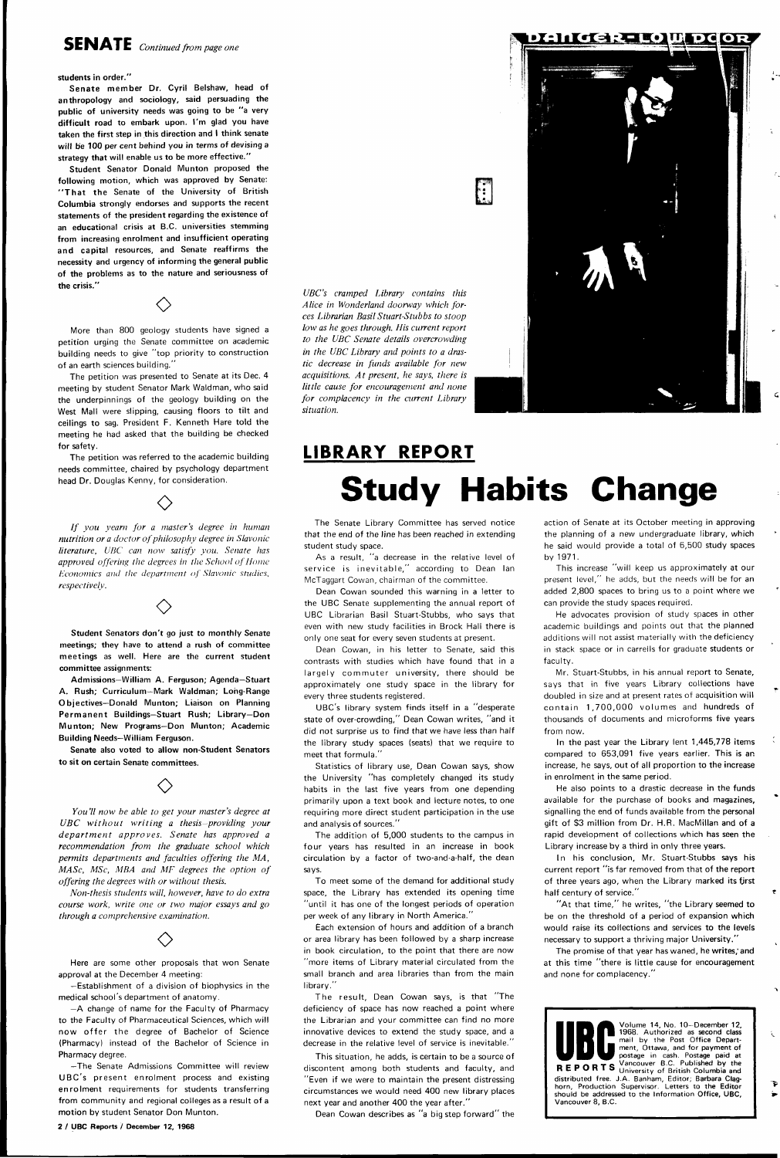#### **students in order."**

**Senate member Dr. Cyril Belshaw, head of anthropology and sociology, said persuading the public of university needs was going to be "a very difficult road to embark upon. I'm glad you have taken the first step in this direction and I think senate will be 100 per cent behind you in terms of devising a strategy that will enable us to be more effective."** 

**Student Senator Donald Munton proposed the following motion, which was approved by Senate:**  "That the Senate of the University of British **Columbia strongly endorses and supports the recent statements of the president regarding the existence of an educational crisis at B.C. universities stemming from increasing enrolment and insufficient operating and capital resources, and Senate reaffirms the necessity and urgency of informing the general public of the problems as to the nature and seriousness of the crisis."** 

// *you yearn for a master's degree in human nutrition or a doctor of philosophy degree in Slavonic literature, UBC can now satisfy you. Senate has approved offering the degrees in the School of Home Economics and the department of Slavonic studies, respectively.*   $\Diamond$ 

More than 800 geology students have signed a petition urging the Senate committee on academic building needs to give "top priority to construction of an earth sciences building."

 $\Diamond$ 

The petition was presented to Senate at its Dec. 4 meeting by student Senator Mark Waldman, who said the underpinnings of the geology building on the West Mall were slipping, causing floors to tilt and ceilings **to** sag. President F. Kenneth Hare told the meeting he had asked that the building be checked for safety.

The petition was referred to the academic building needs committee, chaired by psychology department head Dr. Douglas Kenny, for consideration.

 $\Diamond$ 

**Student Senators don't go just to monthly Senate meetings; they have to attend a rush of committee meetings as well. Here are the current student committee assignments:** 

**Admissions—William A. Ferguson; Agenda—Stuart A. Rush; Curriculum—Mark Waldman; Long-Range Objectives—Donald Munton; Liaison on Planning Permanent Buildings—Stuart Rush; Library—Don Munton; New Programs—Don Munton; Academic Building Needs—William Ferguson.** 

**Senate also voted to allow non-Student Senators to sit on certain Senate committees.** 

 $\Diamond$ 

*You'll now be able to get your master's degree at UBC without writing a thesis-providing your department approves. Senate has approved a recommendation from the graduate school which permits departments and faculties offering the MA, MASc, MSc, MBA and MF degrees the option of* 

*offering the degrees with or without thesis.* 

*Non-thesis students will, however, have to do extra course work, write one or two major essays and go through a comprehensive examination.* 

 $\Diamond$ 

Each extension of hours and addition of a branch or area library has been followed by a sharp increase in book circulation, to the point that there are now "more items of Library material circulated from the small branch and area libraries than from the main library."

Here are some other proposals that won Senate approval at the December 4 meeting:

—Establishment of a division of biophysics in the medical school's department of anatomy.

—A change of name for the Faculty of Pharmacy to the Faculty of Pharmaceutical Sciences, which will now offer the degree of Bachelor of Science (Pharmacy) instead of the Bachelor of Science in Pharmacy degree.

—The Senate Admissions Committee will review UBC's present enrolment process and existing enrolment requirements for students transferring **from** community and regional colleges as a result of a **motion** by student Senator Don Munton.

This increase "will keep us approximately at our present level," he adds, but the needs will be for an added 2,800 spaces to bring us to a point where we can provide the study spaces required.

**2** / **UBC Reports / December 12, 1968** 

*UBC's cramped Library contains this Alice in Wonderland doorway which forces Librarian Basil Stuart-Stubbs to stoop low as he goes through. His current report to the UBC Senate details overcrowding in the UBC Library and points to a drastic decrease in funds available for new acquisitions. At present, he says, there is little cause for encouragement and none for complacency in the current Library situation.* 



### **LIBRARY REPORT**

## **Study Habits Change**

The Senate Library Committee has served notice that the end of the line has been reached in extending student study space.

> "At that time," he writes, "the Library seemed to be on the threshold of a period of expansion **which**  would raise its collections and services **to the levels**  necessary to support a thriving major **University."**

> The promise of that year has waned, he writes, and at this time "there is little cause for encouragement and none for complacency."

As a result, "a decrease in the relative level of service is inevitable," according to Dean Ian McTaggart Cowan, chairman of the committee.

Dean Cowan sounded this warning in a letter to the UBC Senate supplementing the annual report of UBC Librarian Basil Stuart-Stubbs, who says that even with new study facilities in Brock Hall there is only one seat for every seven students at present.

Dean Cowan, in his letter to Senate, said this contrasts with studies which have found that in a largely commuter university, there should be approximately one study space in the library for every three students registered.

UBC's library system finds itself in a "desperate state of over-crowding," Dean Cowan writes, "and it did not surprise us to find that we have less than half the library study spaces (seats) that we require to meet that formula."

Statistics of library use, Dean Cowan says, show the University "has completely changed its study habits in the last five years from one depending primarily upon a text book and lecture notes, to one requiring more direct student participation in the use and analysis of sources."

The addition of 5,000 students to the campus in four years has resulted in an increase in book circulation by a factor of two-and-a-half, the dean says.

To meet some of the demand for additional study space, the Library has extended its opening time "until it has one of the longest periods of operation per week of any library in North America."

The result. Dean Cowan says, is that "The deficiency of space has now reached a point where the Librarian and your committee can find no more innovative devices to extend the study space, and a decrease in the relative level of service is inevitable."

This situation, he adds, is certain to be a source of discontent among both students and faculty, and "Even if we were to maintain the present distressing circumstances we would need 400 new library places next year and another 400 the year after."

Dean Cowan describes as "a big step forward" the

action of Senate at its October meeting in approving the planning of a new undergraduate library, which he said would provide a total of 6,500 study spaces by 1971.

He advocates provision of study spaces in other academic buildings and points out that the planned additions will not assist materially with the deficiency in stack space or in carrells for graduate students or faculty.

Mr. Stuart-Stubbs, in his annual report to Senate, says that in five years Library collections have doubled in size and at present rates of acquisition will contain 1,700,000 volumes and hundreds of thousands of documents and microforms five years from now.

In the past year the Library lent **1,445,778 items**  compared to 653,091 five years earlier. **This** is an increase, he says, out of all proportion to **the** increase in enrolment in the same period.

He also points to a drastic decrease **in the funds**  available for the purchase of books and magazines, signalling the end of funds available from the personal gift of \$3 million from Dr. H.R. MacMillan **and of** a rapid development of collections which has seen the Library increase by a third in only three years.

In his conclusion, Mr. Stuart-Stubbs says **his**  current report "is far removed from that **of the report** 

of three years ago, when the Library **marked its fjrst**  half century of service."



 $\overline{\bullet}$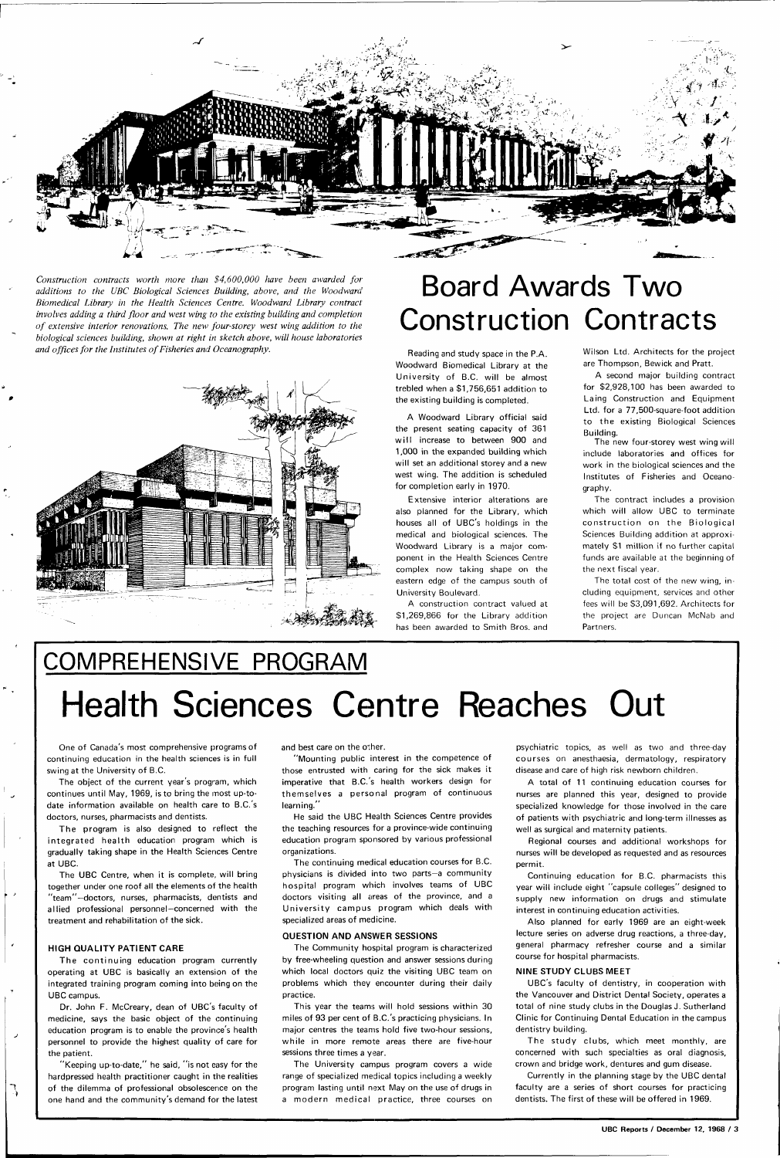

*Construction contracts worth more than \$4,600,000 have been awarded for additions to the UBC Biological Sciences Building, above, and the Woodward Biomedical Library in the Health Sciences Centre. Woodward Library contract involves adding a third floor and west wing to the existing building and completion of extensive interior renovations. The new four-storey west wing addition to the biological sciences building, shown at right in sketch above, will house laboratories and offices for the Institutes of Fisheries and Oceanography.* 



### Board Awards Two Construction Contracts

Reading and study space in the P.A. Woodward Biomedical Library at the University of B.C. will be almost trebled when a \$1,756,651 addition to the existing building is completed.

A Woodward Library official said the present seating capacity of 361 will increase to between 900 and 1,000 in the expanded building which will set an additional storey and a new west wing. The addition is scheduled for completion early in 1970.

Extensive interior alterations are also planned for the Library, which houses all of UBC's holdings in the medical and biological sciences. The Woodward Library is a major component in the Health Sciences Centre complex now taking shape on the eastern edge of the campus south of University Boulevard.

The program is also designed to reflect the integrated health education program which is gradually taking shape in the Health Sciences Centre at UBC.

A construction contract valued at \$1,269,866 for the Library addition has been awarded to Smith Bros, and Wilson Ltd. Architects for the project are Thompson, Bewick and Pratt.

The continuing education program currently operating at UBC is basically an extension of the integrated training program coming into being on the UBC campus.

A second major building contract for \$2,928,100 has been awarded to Laing Construction and Equipment Ltd. for a 77,500-square-foot addition to the existing Biological Sciences Building.

The new four-storey west wing will include laboratories and offices for work in the biological sciences and the Institutes of Fisheries and Oceanography.

"Mounting public interest in the competence of those entrusted with caring for the sick makes it imperative that B.C.'s health workers design for themselves a personal program of continuous learning.

The contract includes a provision which will allow UBC to terminate construction on the Biological Sciences Building addition at approximately \$1 million if no further capital funds are available at the beginning of the next fiscal year.

The total cost of the new wing, including equipment, services and other fees will be \$3,091,692. Architects for the project are Duncan McNab and Partners.

## COMPREHENSIVE PROGRAM Health Sciences Centre Reaches Out

The University campus program covers a wide range of specialized medical topics including a weekly program lasting until next May on the use of drugs in a modern medical practice, three courses on

One of Canada's most comprehensive programs of continuing education in the health sciences is in full swing at the University of B.C.

The object of the current year's program, which continues until May, 1969, is to bring the most up-todate information available on health care to B.C.'s doctors, nurses, pharmacists and dentists.

The UBC Centre, when it is complete, will bring together under one roof all the elements of the health 'team''-doctors, nurses, pharmacists, dentists and allied professional personnel—concerned with the treatment and rehabilitation of the sick.

**HIGH QUALITY PATIENT CARE** 

٦,

The study clubs, which meet monthly, are concerned with such specialties as oral diagnosis, crown and bridge work, dentures and gum disease.

Dr. John F. McCreary, dean of UBC's faculty of medicine, says the basic object of the continuing education program is to enable the province's health personnel to provide the highest quality of care for the patient.

"Keeping up-to-date," he said, "is not easy for the hardpressed health practitioner caught in the realities of the dilemma of professional obsolescence on the one hand and the community's demand for the latest and best care on the other.

He said the UBC Health Sciences Centre provides the teaching resources for a province-wide continuing education program sponsored by various professional organizations.

The continuing medical education courses for B.C. physicians is divided into two parts—a community hospital program which involves teams of UBC doctors visiting all areas of the province, and a University campus program which deals with specialized areas of medicine.

#### **QUESTION AND ANSWER SESSIONS**

The Community hospital program is characterized by free-wheeling question and answer sessions during which local doctors quiz the visiting UBC team on problems which they encounter during their daily practice.

This year the teams will hold sessions within 30 miles of 93 per cent of B.C.'s practicing physicians. In major centres the teams hold five two-hour sessions, while in more remote areas there are five-hour sessions three times a year.

psychiatric topics, as well as two and three-day courses on anesthaesia, dermatology, respiratory disease and care of high risk newborn children.

A total of 11 continuing education courses for nurses are planned this year, designed to provide specialized knowledge for those involved in the care of patients with psychiatric and long-term illnesses as well as surgical and maternity patients.

Regional courses and additional workshops for nurses will be developed as requested and as resources permit.

Continuing education for B.C. pharmacists this year will include eight "capsule colleges" designed to supply new information on drugs and stimulate interest in continuing education activities.

Also planned for early 1969 are an eight-week lecture series on adverse drug reactions, a three-day, general pharmacy refresher course and a similar course for hospital pharmacists.

#### **NINE STUDY CLUBS MEET**

UBC's faculty of dentistry, in cooperation with the Vancouver and District Dental Society, operates a total of nine study clubs in the Douglas J. Sutherland Clinic for Continuing Dental Education in the campus dentistry building.

Currently in the planning stage by the UBC dental faculty are a series of short courses for practicing dentists. The first of these will be offered in 1969.

**UBC Reports / December 12, 1968 / 3**